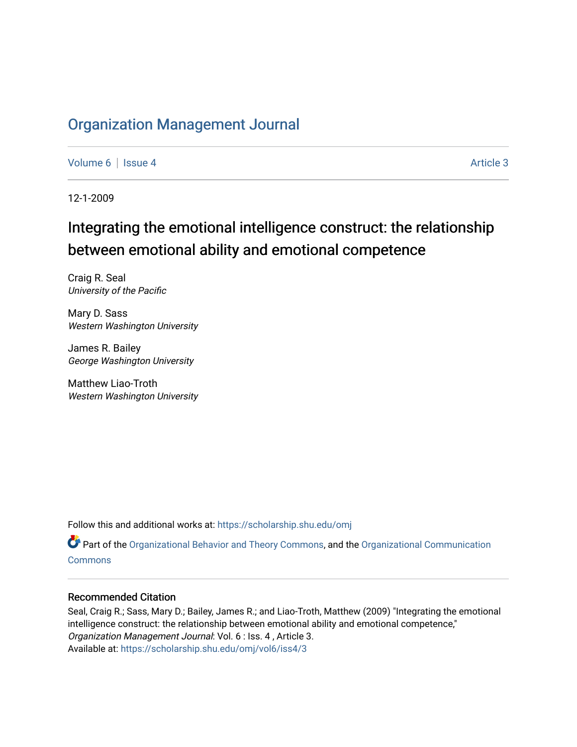# [Organization Management Journal](https://scholarship.shu.edu/omj)

[Volume 6](https://scholarship.shu.edu/omj/vol6) | [Issue 4](https://scholarship.shu.edu/omj/vol6/iss4) Article 3

12-1-2009

# Integrating the emotional intelligence construct: the relationship between emotional ability and emotional competence

Craig R. Seal University of the Pacific

Mary D. Sass Western Washington University

James R. Bailey George Washington University

Matthew Liao-Troth Western Washington University

Follow this and additional works at: [https://scholarship.shu.edu/omj](https://scholarship.shu.edu/omj?utm_source=scholarship.shu.edu%2Fomj%2Fvol6%2Fiss4%2F3&utm_medium=PDF&utm_campaign=PDFCoverPages) 

Part of the [Organizational Behavior and Theory Commons,](http://network.bepress.com/hgg/discipline/639?utm_source=scholarship.shu.edu%2Fomj%2Fvol6%2Fiss4%2F3&utm_medium=PDF&utm_campaign=PDFCoverPages) and the [Organizational Communication](http://network.bepress.com/hgg/discipline/335?utm_source=scholarship.shu.edu%2Fomj%2Fvol6%2Fiss4%2F3&utm_medium=PDF&utm_campaign=PDFCoverPages) [Commons](http://network.bepress.com/hgg/discipline/335?utm_source=scholarship.shu.edu%2Fomj%2Fvol6%2Fiss4%2F3&utm_medium=PDF&utm_campaign=PDFCoverPages)

# Recommended Citation

Seal, Craig R.; Sass, Mary D.; Bailey, James R.; and Liao-Troth, Matthew (2009) "Integrating the emotional intelligence construct: the relationship between emotional ability and emotional competence," Organization Management Journal: Vol. 6 : Iss. 4 , Article 3. Available at: [https://scholarship.shu.edu/omj/vol6/iss4/3](https://scholarship.shu.edu/omj/vol6/iss4/3?utm_source=scholarship.shu.edu%2Fomj%2Fvol6%2Fiss4%2F3&utm_medium=PDF&utm_campaign=PDFCoverPages)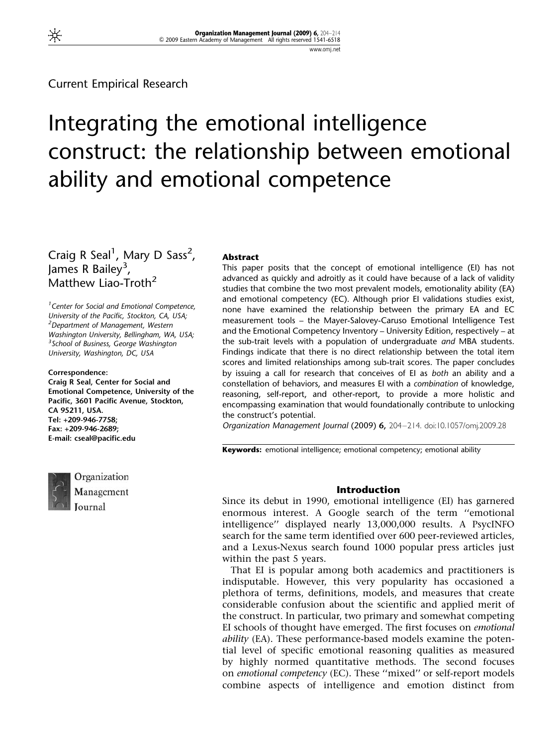Current Empirical Research

# Integrating the emotional intelligence construct: the relationship between emotional ability and emotional competence

Craig R Seal<sup>1</sup>, Mary D Sass<sup>2</sup>, James R Bailey<sup>3</sup>, Matthew Liao-Troth<sup>2</sup>

<sup>1</sup> Center for Social and Emotional Competence, University of the Pacific, Stockton, CA, USA; <sup>2</sup>Department of Management, Western Washington University, Bellingham, WA, USA; <sup>3</sup> School of Business, George Washington University, Washington, DC, USA

Correspondence:

Craig R Seal, Center for Social and Emotional Competence, University of the Pacific, 3601 Pacific Avenue, Stockton, CA 95211, USA. Tel: +209-946-7758; Fax: +209-946-2689; E-mail: cseal@pacific.edu



Organization Management Journal

# Abstract

This paper posits that the concept of emotional intelligence (EI) has not advanced as quickly and adroitly as it could have because of a lack of validity studies that combine the two most prevalent models, emotionality ability (EA) and emotional competency (EC). Although prior EI validations studies exist, none have examined the relationship between the primary EA and EC measurement tools – the Mayer-Salovey-Caruso Emotional Intelligence Test and the Emotional Competency Inventory – University Edition, respectively – at the sub-trait levels with a population of undergraduate and MBA students. Findings indicate that there is no direct relationship between the total item scores and limited relationships among sub-trait scores. The paper concludes by issuing a call for research that conceives of EI as both an ability and a constellation of behaviors, and measures EI with a combination of knowledge, reasoning, self-report, and other-report, to provide a more holistic and encompassing examination that would foundationally contribute to unlocking the construct's potential.

Organization Management Journal (2009) 6, 204–214. doi:10.1057/omj.2009.28

Keywords: emotional intelligence; emotional competency; emotional ability

# Introduction

Since its debut in 1990, emotional intelligence (EI) has garnered enormous interest. A Google search of the term ''emotional intelligence'' displayed nearly 13,000,000 results. A PsycINFO search for the same term identified over 600 peer-reviewed articles, and a Lexus-Nexus search found 1000 popular press articles just within the past 5 years.

That EI is popular among both academics and practitioners is indisputable. However, this very popularity has occasioned a plethora of terms, definitions, models, and measures that create considerable confusion about the scientific and applied merit of the construct. In particular, two primary and somewhat competing EI schools of thought have emerged. The first focuses on emotional ability (EA). These performance-based models examine the potential level of specific emotional reasoning qualities as measured by highly normed quantitative methods. The second focuses on emotional competency (EC). These ''mixed'' or self-report models combine aspects of intelligence and emotion distinct from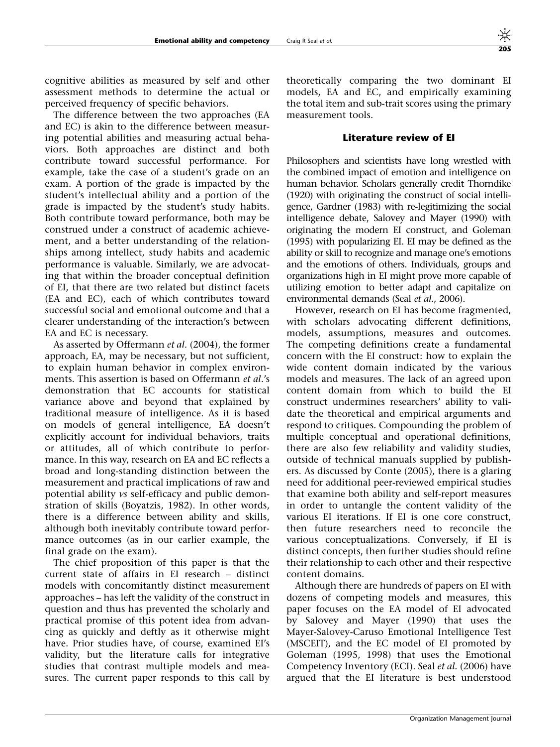cognitive abilities as measured by self and other assessment methods to determine the actual or perceived frequency of specific behaviors.

The difference between the two approaches (EA and EC) is akin to the difference between measuring potential abilities and measuring actual behaviors. Both approaches are distinct and both contribute toward successful performance. For example, take the case of a student's grade on an exam. A portion of the grade is impacted by the student's intellectual ability and a portion of the grade is impacted by the student's study habits. Both contribute toward performance, both may be construed under a construct of academic achievement, and a better understanding of the relationships among intellect, study habits and academic performance is valuable. Similarly, we are advocating that within the broader conceptual definition of EI, that there are two related but distinct facets (EA and EC), each of which contributes toward successful social and emotional outcome and that a clearer understanding of the interaction's between EA and EC is necessary.

As asserted by Offermann et al. (2004), the former approach, EA, may be necessary, but not sufficient, to explain human behavior in complex environments. This assertion is based on Offermann et al.'s demonstration that EC accounts for statistical variance above and beyond that explained by traditional measure of intelligence. As it is based on models of general intelligence, EA doesn't explicitly account for individual behaviors, traits or attitudes, all of which contribute to performance. In this way, research on EA and EC reflects a broad and long-standing distinction between the measurement and practical implications of raw and potential ability vs self-efficacy and public demonstration of skills (Boyatzis, 1982). In other words, there is a difference between ability and skills, although both inevitably contribute toward performance outcomes (as in our earlier example, the final grade on the exam).

The chief proposition of this paper is that the current state of affairs in EI research – distinct models with concomitantly distinct measurement approaches – has left the validity of the construct in question and thus has prevented the scholarly and practical promise of this potent idea from advancing as quickly and deftly as it otherwise might have. Prior studies have, of course, examined EI's validity, but the literature calls for integrative studies that contrast multiple models and measures. The current paper responds to this call by theoretically comparing the two dominant EI models, EA and EC, and empirically examining the total item and sub-trait scores using the primary measurement tools.

#### Literature review of EI

Philosophers and scientists have long wrestled with the combined impact of emotion and intelligence on human behavior. Scholars generally credit Thorndike (1920) with originating the construct of social intelligence, Gardner (1983) with re-legitimizing the social intelligence debate, Salovey and Mayer (1990) with originating the modern EI construct, and Goleman (1995) with popularizing EI. EI may be defined as the ability or skill to recognize and manage one's emotions and the emotions of others. Individuals, groups and organizations high in EI might prove more capable of utilizing emotion to better adapt and capitalize on environmental demands (Seal et al., 2006).

However, research on EI has become fragmented, with scholars advocating different definitions, models, assumptions, measures and outcomes. The competing definitions create a fundamental concern with the EI construct: how to explain the wide content domain indicated by the various models and measures. The lack of an agreed upon content domain from which to build the EI construct undermines researchers' ability to validate the theoretical and empirical arguments and respond to critiques. Compounding the problem of multiple conceptual and operational definitions, there are also few reliability and validity studies, outside of technical manuals supplied by publishers. As discussed by Conte (2005), there is a glaring need for additional peer-reviewed empirical studies that examine both ability and self-report measures in order to untangle the content validity of the various EI iterations. If EI is one core construct, then future researchers need to reconcile the various conceptualizations. Conversely, if EI is distinct concepts, then further studies should refine their relationship to each other and their respective content domains.

Although there are hundreds of papers on EI with dozens of competing models and measures, this paper focuses on the EA model of EI advocated by Salovey and Mayer (1990) that uses the Mayer-Salovey-Caruso Emotional Intelligence Test (MSCEIT), and the EC model of EI promoted by Goleman (1995, 1998) that uses the Emotional Competency Inventory (ECI). Seal et al. (2006) have argued that the EI literature is best understood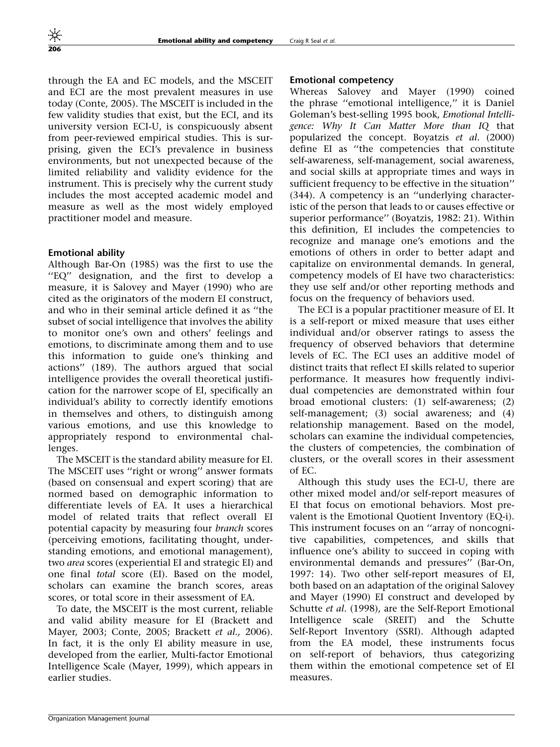through the EA and EC models, and the MSCEIT and ECI are the most prevalent measures in use today (Conte, 2005). The MSCEIT is included in the few validity studies that exist, but the ECI, and its university version ECI-U, is conspicuously absent from peer-reviewed empirical studies. This is surprising, given the ECI's prevalence in business environments, but not unexpected because of the limited reliability and validity evidence for the instrument. This is precisely why the current study includes the most accepted academic model and measure as well as the most widely employed practitioner model and measure.

#### Emotional ability

Although Bar-On (1985) was the first to use the ''EQ'' designation, and the first to develop a measure, it is Salovey and Mayer (1990) who are cited as the originators of the modern EI construct, and who in their seminal article defined it as ''the subset of social intelligence that involves the ability to monitor one's own and others' feelings and emotions, to discriminate among them and to use this information to guide one's thinking and actions'' (189). The authors argued that social intelligence provides the overall theoretical justification for the narrower scope of EI, specifically an individual's ability to correctly identify emotions in themselves and others, to distinguish among various emotions, and use this knowledge to appropriately respond to environmental challenges.

The MSCEIT is the standard ability measure for EI. The MSCEIT uses ''right or wrong'' answer formats (based on consensual and expert scoring) that are normed based on demographic information to differentiate levels of EA. It uses a hierarchical model of related traits that reflect overall EI potential capacity by measuring four branch scores (perceiving emotions, facilitating thought, understanding emotions, and emotional management), two area scores (experiential EI and strategic EI) and one final total score (EI). Based on the model, scholars can examine the branch scores, areas scores, or total score in their assessment of EA.

To date, the MSCEIT is the most current, reliable and valid ability measure for EI (Brackett and Mayer, 2003; Conte, 2005; Brackett et al., 2006). In fact, it is the only EI ability measure in use, developed from the earlier, Multi-factor Emotional Intelligence Scale (Mayer, 1999), which appears in earlier studies.

#### Emotional competency

Whereas Salovey and Mayer (1990) coined the phrase ''emotional intelligence,'' it is Daniel Goleman's best-selling 1995 book, Emotional Intelligence: Why It Can Matter More than IQ that popularized the concept. Boyatzis et al. (2000) define EI as ''the competencies that constitute self-awareness, self-management, social awareness, and social skills at appropriate times and ways in sufficient frequency to be effective in the situation'' (344). A competency is an ''underlying characteristic of the person that leads to or causes effective or superior performance'' (Boyatzis, 1982: 21). Within this definition, EI includes the competencies to recognize and manage one's emotions and the emotions of others in order to better adapt and capitalize on environmental demands. In general, competency models of EI have two characteristics: they use self and/or other reporting methods and focus on the frequency of behaviors used.

The ECI is a popular practitioner measure of EI. It is a self-report or mixed measure that uses either individual and/or observer ratings to assess the frequency of observed behaviors that determine levels of EC. The ECI uses an additive model of distinct traits that reflect EI skills related to superior performance. It measures how frequently individual competencies are demonstrated within four broad emotional clusters: (1) self-awareness; (2) self-management; (3) social awareness; and (4) relationship management. Based on the model, scholars can examine the individual competencies, the clusters of competencies, the combination of clusters, or the overall scores in their assessment of EC.

Although this study uses the ECI-U, there are other mixed model and/or self-report measures of EI that focus on emotional behaviors. Most prevalent is the Emotional Quotient Inventory (EQ-i). This instrument focuses on an ''array of noncognitive capabilities, competences, and skills that influence one's ability to succeed in coping with environmental demands and pressures'' (Bar-On, 1997: 14). Two other self-report measures of EI, both based on an adaptation of the original Salovey and Mayer (1990) EI construct and developed by Schutte et al. (1998), are the Self-Report Emotional Intelligence scale (SREIT) and the Schutte Self-Report Inventory (SSRI). Although adapted from the EA model, these instruments focus on self-report of behaviors, thus categorizing them within the emotional competence set of EI measures.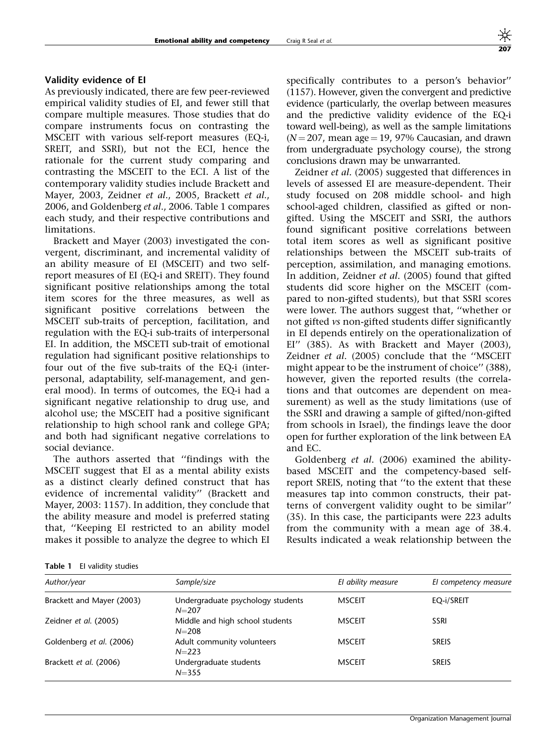#### Validity evidence of EI

As previously indicated, there are few peer-reviewed empirical validity studies of EI, and fewer still that compare multiple measures. Those studies that do compare instruments focus on contrasting the MSCEIT with various self-report measures (EQ-i, SREIT, and SSRI), but not the ECI, hence the rationale for the current study comparing and contrasting the MSCEIT to the ECI. A list of the contemporary validity studies include Brackett and Mayer, 2003, Zeidner et al., 2005, Brackett et al., 2006, and Goldenberg et al., 2006. Table 1 compares each study, and their respective contributions and limitations.

Brackett and Mayer (2003) investigated the convergent, discriminant, and incremental validity of an ability measure of EI (MSCEIT) and two selfreport measures of EI (EQ-i and SREIT). They found significant positive relationships among the total item scores for the three measures, as well as significant positive correlations between the MSCEIT sub-traits of perception, facilitation, and regulation with the EQ-i sub-traits of interpersonal EI. In addition, the MSCETI sub-trait of emotional regulation had significant positive relationships to four out of the five sub-traits of the EQ-i (interpersonal, adaptability, self-management, and general mood). In terms of outcomes, the EQ-i had a significant negative relationship to drug use, and alcohol use; the MSCEIT had a positive significant relationship to high school rank and college GPA; and both had significant negative correlations to social deviance.

The authors asserted that ''findings with the MSCEIT suggest that EI as a mental ability exists as a distinct clearly defined construct that has evidence of incremental validity'' (Brackett and Mayer, 2003: 1157). In addition, they conclude that the ability measure and model is preferred stating that, ''Keeping EI restricted to an ability model makes it possible to analyze the degree to which EI specifically contributes to a person's behavior'' (1157). However, given the convergent and predictive evidence (particularly, the overlap between measures and the predictive validity evidence of the EQ-i toward well-being), as well as the sample limitations  $(N = 207$ , mean age = 19, 97% Caucasian, and drawn from undergraduate psychology course), the strong conclusions drawn may be unwarranted.

Zeidner et al. (2005) suggested that differences in levels of assessed EI are measure-dependent. Their study focused on 208 middle school- and high school-aged children, classified as gifted or nongifted. Using the MSCEIT and SSRI, the authors found significant positive correlations between total item scores as well as significant positive relationships between the MSCEIT sub-traits of perception, assimilation, and managing emotions. In addition, Zeidner et al. (2005) found that gifted students did score higher on the MSCEIT (compared to non-gifted students), but that SSRI scores were lower. The authors suggest that, ''whether or not gifted vs non-gifted students differ significantly in EI depends entirely on the operationalization of EI" (385). As with Brackett and Mayer (2003), Zeidner et al. (2005) conclude that the ''MSCEIT might appear to be the instrument of choice'' (388), however, given the reported results (the correlations and that outcomes are dependent on measurement) as well as the study limitations (use of the SSRI and drawing a sample of gifted/non-gifted from schools in Israel), the findings leave the door open for further exploration of the link between EA and EC.

Goldenberg et al. (2006) examined the abilitybased MSCEIT and the competency-based selfreport SREIS, noting that ''to the extent that these measures tap into common constructs, their patterns of convergent validity ought to be similar'' (35). In this case, the participants were 223 adults from the community with a mean age of 38.4. Results indicated a weak relationship between the

Table 1 El validity studies

| Author/year               | Sample/size                                    | El ability measure | El competency measure |
|---------------------------|------------------------------------------------|--------------------|-----------------------|
| Brackett and Mayer (2003) | Undergraduate psychology students<br>$N = 207$ | <b>MSCEIT</b>      | EQ-i/SREIT            |
| Zeidner et al. (2005)     | Middle and high school students<br>$N = 208$   | <b>MSCEIT</b>      | <b>SSRI</b>           |
| Goldenberg et al. (2006)  | Adult community volunteers<br>$N = 223$        | <b>MSCEIT</b>      | <b>SREIS</b>          |
| Brackett et al. (2006)    | Undergraduate students<br>$N = 355$            | <b>MSCEIT</b>      | <b>SREIS</b>          |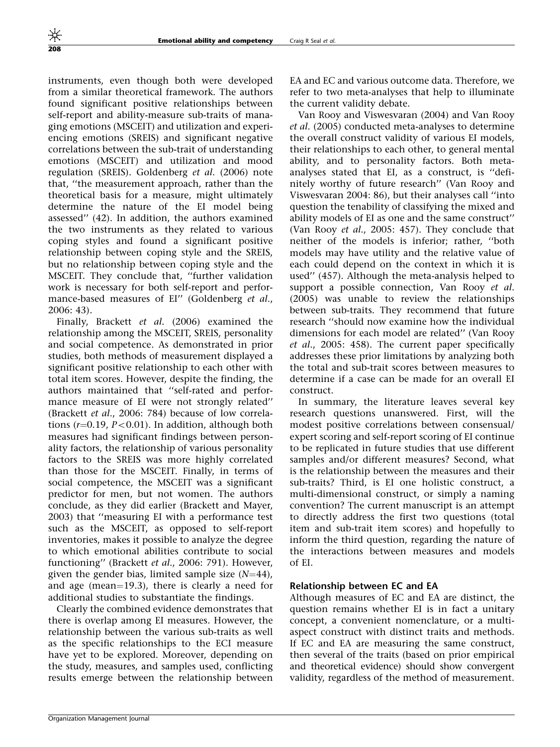instruments, even though both were developed from a similar theoretical framework. The authors found significant positive relationships between self-report and ability-measure sub-traits of managing emotions (MSCEIT) and utilization and experiencing emotions (SREIS) and significant negative correlations between the sub-trait of understanding emotions (MSCEIT) and utilization and mood regulation (SREIS). Goldenberg et al. (2006) note that, ''the measurement approach, rather than the theoretical basis for a measure, might ultimately determine the nature of the EI model being assessed'' (42). In addition, the authors examined the two instruments as they related to various coping styles and found a significant positive relationship between coping style and the SREIS, but no relationship between coping style and the MSCEIT. They conclude that, ''further validation work is necessary for both self-report and performance-based measures of EI" (Goldenberg et al., 2006: 43).

Finally, Brackett et al. (2006) examined the relationship among the MSCEIT, SREIS, personality and social competence. As demonstrated in prior studies, both methods of measurement displayed a significant positive relationship to each other with total item scores. However, despite the finding, the authors maintained that ''self-rated and performance measure of EI were not strongly related'' (Brackett et al., 2006: 784) because of low correlations  $(r=0.19, P<0.01)$ . In addition, although both measures had significant findings between personality factors, the relationship of various personality factors to the SREIS was more highly correlated than those for the MSCEIT. Finally, in terms of social competence, the MSCEIT was a significant predictor for men, but not women. The authors conclude, as they did earlier (Brackett and Mayer, 2003) that ''measuring EI with a performance test such as the MSCEIT, as opposed to self-report inventories, makes it possible to analyze the degree to which emotional abilities contribute to social functioning" (Brackett et al., 2006: 791). However, given the gender bias, limited sample size  $(N=44)$ , and age (mean= $19.3$ ), there is clearly a need for additional studies to substantiate the findings.

Clearly the combined evidence demonstrates that there is overlap among EI measures. However, the relationship between the various sub-traits as well as the specific relationships to the ECI measure have yet to be explored. Moreover, depending on the study, measures, and samples used, conflicting results emerge between the relationship between EA and EC and various outcome data. Therefore, we refer to two meta-analyses that help to illuminate the current validity debate.

Van Rooy and Viswesvaran (2004) and Van Rooy et al. (2005) conducted meta-analyses to determine the overall construct validity of various EI models, their relationships to each other, to general mental ability, and to personality factors. Both metaanalyses stated that EI, as a construct, is ''definitely worthy of future research'' (Van Rooy and Viswesvaran 2004: 86), but their analyses call ''into question the tenability of classifying the mixed and ability models of EI as one and the same construct'' (Van Rooy et al., 2005: 457). They conclude that neither of the models is inferior; rather, ''both models may have utility and the relative value of each could depend on the context in which it is used'' (457). Although the meta-analysis helped to support a possible connection, Van Rooy et al. (2005) was unable to review the relationships between sub-traits. They recommend that future research ''should now examine how the individual dimensions for each model are related'' (Van Rooy et al., 2005: 458). The current paper specifically addresses these prior limitations by analyzing both the total and sub-trait scores between measures to determine if a case can be made for an overall EI construct.

In summary, the literature leaves several key research questions unanswered. First, will the modest positive correlations between consensual/ expert scoring and self-report scoring of EI continue to be replicated in future studies that use different samples and/or different measures? Second, what is the relationship between the measures and their sub-traits? Third, is EI one holistic construct, a multi-dimensional construct, or simply a naming convention? The current manuscript is an attempt to directly address the first two questions (total item and sub-trait item scores) and hopefully to inform the third question, regarding the nature of the interactions between measures and models of EI.

## Relationship between EC and EA

Although measures of EC and EA are distinct, the question remains whether EI is in fact a unitary concept, a convenient nomenclature, or a multiaspect construct with distinct traits and methods. If EC and EA are measuring the same construct, then several of the traits (based on prior empirical and theoretical evidence) should show convergent validity, regardless of the method of measurement.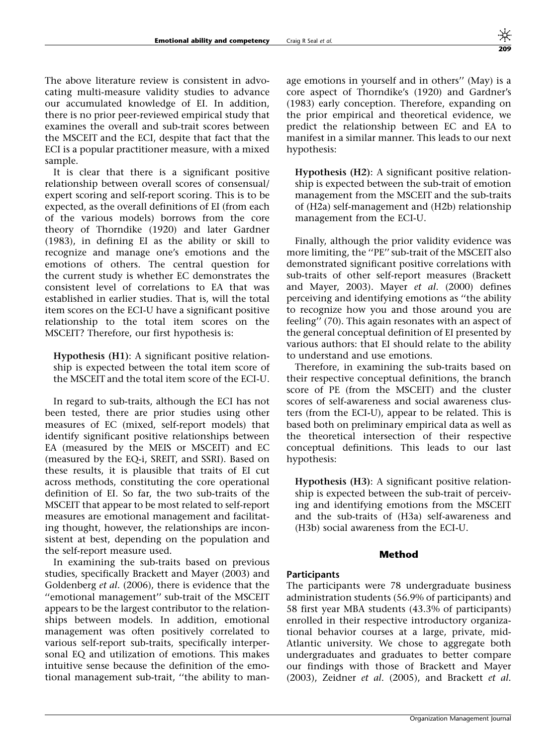The above literature review is consistent in advocating multi-measure validity studies to advance our accumulated knowledge of EI. In addition, there is no prior peer-reviewed empirical study that examines the overall and sub-trait scores between the MSCEIT and the ECI, despite that fact that the ECI is a popular practitioner measure, with a mixed sample.

It is clear that there is a significant positive relationship between overall scores of consensual/ expert scoring and self-report scoring. This is to be expected, as the overall definitions of EI (from each of the various models) borrows from the core theory of Thorndike (1920) and later Gardner (1983), in defining EI as the ability or skill to recognize and manage one's emotions and the emotions of others. The central question for the current study is whether EC demonstrates the consistent level of correlations to EA that was established in earlier studies. That is, will the total item scores on the ECI-U have a significant positive relationship to the total item scores on the MSCEIT? Therefore, our first hypothesis is:

Hypothesis (H1): A significant positive relationship is expected between the total item score of the MSCEIT and the total item score of the ECI-U.

In regard to sub-traits, although the ECI has not been tested, there are prior studies using other measures of EC (mixed, self-report models) that identify significant positive relationships between EA (measured by the MEIS or MSCEIT) and EC (measured by the EQ-i, SREIT, and SSRI). Based on these results, it is plausible that traits of EI cut across methods, constituting the core operational definition of EI. So far, the two sub-traits of the MSCEIT that appear to be most related to self-report measures are emotional management and facilitating thought, however, the relationships are inconsistent at best, depending on the population and the self-report measure used.

In examining the sub-traits based on previous studies, specifically Brackett and Mayer (2003) and Goldenberg et al. (2006), there is evidence that the ''emotional management'' sub-trait of the MSCEIT appears to be the largest contributor to the relationships between models. In addition, emotional management was often positively correlated to various self-report sub-traits, specifically interpersonal EQ and utilization of emotions. This makes intuitive sense because the definition of the emotional management sub-trait, ''the ability to manage emotions in yourself and in others'' (May) is a core aspect of Thorndike's (1920) and Gardner's (1983) early conception. Therefore, expanding on the prior empirical and theoretical evidence, we predict the relationship between EC and EA to manifest in a similar manner. This leads to our next hypothesis:

Hypothesis (H2): A significant positive relationship is expected between the sub-trait of emotion management from the MSCEIT and the sub-traits of (H2a) self-management and (H2b) relationship management from the ECI-U.

Finally, although the prior validity evidence was more limiting, the ''PE'' sub-trait of the MSCEIT also demonstrated significant positive correlations with sub-traits of other self-report measures (Brackett and Mayer, 2003). Mayer et al. (2000) defines perceiving and identifying emotions as ''the ability to recognize how you and those around you are feeling'' (70). This again resonates with an aspect of the general conceptual definition of EI presented by various authors: that EI should relate to the ability to understand and use emotions.

Therefore, in examining the sub-traits based on their respective conceptual definitions, the branch score of PE (from the MSCEIT) and the cluster scores of self-awareness and social awareness clusters (from the ECI-U), appear to be related. This is based both on preliminary empirical data as well as the theoretical intersection of their respective conceptual definitions. This leads to our last hypothesis:

Hypothesis (H3): A significant positive relationship is expected between the sub-trait of perceiving and identifying emotions from the MSCEIT and the sub-traits of (H3a) self-awareness and (H3b) social awareness from the ECI-U.

#### Method

## Participants

The participants were 78 undergraduate business administration students (56.9% of participants) and 58 first year MBA students (43.3% of participants) enrolled in their respective introductory organizational behavior courses at a large, private, mid-Atlantic university. We chose to aggregate both undergraduates and graduates to better compare our findings with those of Brackett and Mayer (2003), Zeidner et al. (2005), and Brackett et al.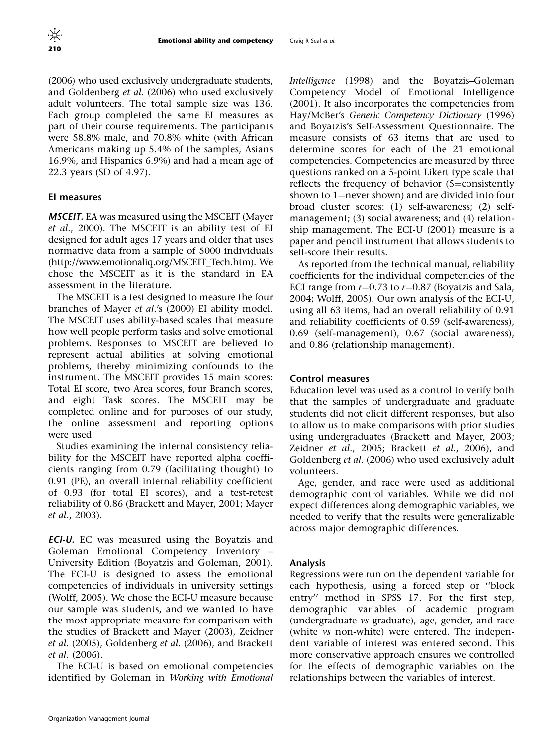(2006) who used exclusively undergraduate students, and Goldenberg et al. (2006) who used exclusively adult volunteers. The total sample size was 136. Each group completed the same EI measures as part of their course requirements. The participants were 58.8% male, and 70.8% white (with African Americans making up 5.4% of the samples, Asians 16.9%, and Hispanics 6.9%) and had a mean age of 22.3 years (SD of 4.97).

# EI measures

**MSCEIT.** EA was measured using the MSCEIT (Mayer et al., 2000). The MSCEIT is an ability test of EI designed for adult ages 17 years and older that uses normative data from a sample of 5000 individuals (http://www.emotionaliq.org/MSCEIT\_Tech.htm). We chose the MSCEIT as it is the standard in EA assessment in the literature.

The MSCEIT is a test designed to measure the four branches of Mayer et al.'s (2000) EI ability model. The MSCEIT uses ability-based scales that measure how well people perform tasks and solve emotional problems. Responses to MSCEIT are believed to represent actual abilities at solving emotional problems, thereby minimizing confounds to the instrument. The MSCEIT provides 15 main scores: Total EI score, two Area scores, four Branch scores, and eight Task scores. The MSCEIT may be completed online and for purposes of our study, the online assessment and reporting options were used.

Studies examining the internal consistency reliability for the MSCEIT have reported alpha coefficients ranging from 0.79 (facilitating thought) to 0.91 (PE), an overall internal reliability coefficient of 0.93 (for total EI scores), and a test-retest reliability of 0.86 (Brackett and Mayer, 2001; Mayer et al., 2003).

ECI-U. EC was measured using the Boyatzis and Goleman Emotional Competency Inventory – University Edition (Boyatzis and Goleman, 2001). The ECI-U is designed to assess the emotional competencies of individuals in university settings (Wolff, 2005). We chose the ECI-U measure because our sample was students, and we wanted to have the most appropriate measure for comparison with the studies of Brackett and Mayer (2003), Zeidner et al. (2005), Goldenberg et al. (2006), and Brackett et al. (2006).

The ECI-U is based on emotional competencies identified by Goleman in Working with Emotional Intelligence (1998) and the Boyatzis–Goleman Competency Model of Emotional Intelligence (2001). It also incorporates the competencies from Hay/McBer's Generic Competency Dictionary (1996) and Boyatzis's Self-Assessment Questionnaire. The measure consists of 63 items that are used to determine scores for each of the 21 emotional competencies. Competencies are measured by three questions ranked on a 5-point Likert type scale that reflects the frequency of behavior  $(5=constiently)$ shown to  $1$ =never shown) and are divided into four broad cluster scores: (1) self-awareness; (2) selfmanagement; (3) social awareness; and (4) relationship management. The ECI-U (2001) measure is a paper and pencil instrument that allows students to self-score their results.

As reported from the technical manual, reliability coefficients for the individual competencies of the ECI range from  $r=0.73$  to  $r=0.87$  (Boyatzis and Sala, 2004; Wolff, 2005). Our own analysis of the ECI-U, using all 63 items, had an overall reliability of 0.91 and reliability coefficients of 0.59 (self-awareness), 0.69 (self-management), 0.67 (social awareness), and 0.86 (relationship management).

## Control measures

Education level was used as a control to verify both that the samples of undergraduate and graduate students did not elicit different responses, but also to allow us to make comparisons with prior studies using undergraduates (Brackett and Mayer, 2003; Zeidner et al., 2005; Brackett et al., 2006), and Goldenberg et al. (2006) who used exclusively adult volunteers.

Age, gender, and race were used as additional demographic control variables. While we did not expect differences along demographic variables, we needed to verify that the results were generalizable across major demographic differences.

## Analysis

Regressions were run on the dependent variable for each hypothesis, using a forced step or ''block entry'' method in SPSS 17. For the first step, demographic variables of academic program (undergraduate vs graduate), age, gender, and race (white vs non-white) were entered. The independent variable of interest was entered second. This more conservative approach ensures we controlled for the effects of demographic variables on the relationships between the variables of interest.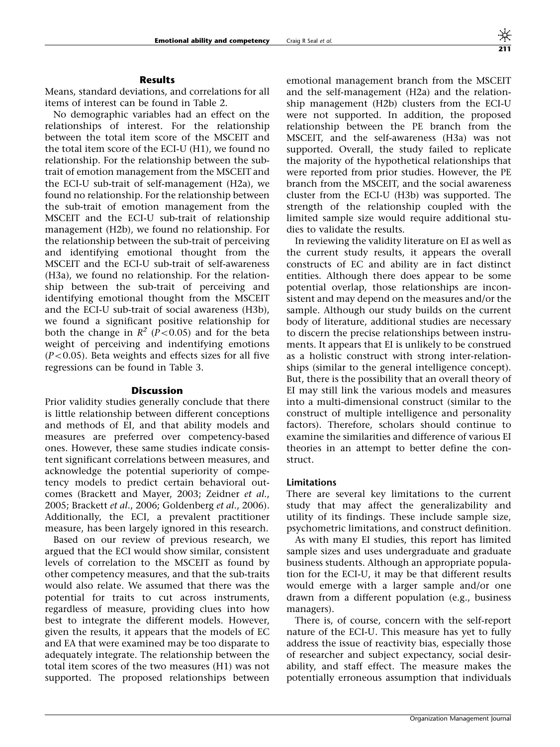#### **Results**

Means, standard deviations, and correlations for all items of interest can be found in Table 2.

No demographic variables had an effect on the relationships of interest. For the relationship between the total item score of the MSCEIT and the total item score of the ECI-U (H1), we found no relationship. For the relationship between the subtrait of emotion management from the MSCEIT and the ECI-U sub-trait of self-management (H2a), we found no relationship. For the relationship between the sub-trait of emotion management from the MSCEIT and the ECI-U sub-trait of relationship management (H2b), we found no relationship. For the relationship between the sub-trait of perceiving and identifying emotional thought from the MSCEIT and the ECI-U sub-trait of self-awareness (H3a), we found no relationship. For the relationship between the sub-trait of perceiving and identifying emotional thought from the MSCEIT and the ECI-U sub-trait of social awareness (H3b), we found a significant positive relationship for both the change in  $R^2$  (P<0.05) and for the beta weight of perceiving and indentifying emotions  $(P<0.05)$ . Beta weights and effects sizes for all five regressions can be found in Table 3.

#### **Discussion**

Prior validity studies generally conclude that there is little relationship between different conceptions and methods of EI, and that ability models and measures are preferred over competency-based ones. However, these same studies indicate consistent significant correlations between measures, and acknowledge the potential superiority of competency models to predict certain behavioral outcomes (Brackett and Mayer, 2003; Zeidner et al., 2005; Brackett et al., 2006; Goldenberg et al., 2006). Additionally, the ECI, a prevalent practitioner measure, has been largely ignored in this research.

Based on our review of previous research, we argued that the ECI would show similar, consistent levels of correlation to the MSCEIT as found by other competency measures, and that the sub-traits would also relate. We assumed that there was the potential for traits to cut across instruments, regardless of measure, providing clues into how best to integrate the different models. However, given the results, it appears that the models of EC and EA that were examined may be too disparate to adequately integrate. The relationship between the total item scores of the two measures (H1) was not supported. The proposed relationships between emotional management branch from the MSCEIT and the self-management (H2a) and the relationship management (H2b) clusters from the ECI-U were not supported. In addition, the proposed relationship between the PE branch from the MSCEIT, and the self-awareness (H3a) was not supported. Overall, the study failed to replicate the majority of the hypothetical relationships that were reported from prior studies. However, the PE branch from the MSCEIT, and the social awareness cluster from the ECI-U (H3b) was supported. The strength of the relationship coupled with the limited sample size would require additional studies to validate the results.

In reviewing the validity literature on EI as well as the current study results, it appears the overall constructs of EC and ability are in fact distinct entities. Although there does appear to be some potential overlap, those relationships are inconsistent and may depend on the measures and/or the sample. Although our study builds on the current body of literature, additional studies are necessary to discern the precise relationships between instruments. It appears that EI is unlikely to be construed as a holistic construct with strong inter-relationships (similar to the general intelligence concept). But, there is the possibility that an overall theory of EI may still link the various models and measures into a multi-dimensional construct (similar to the construct of multiple intelligence and personality factors). Therefore, scholars should continue to examine the similarities and difference of various EI theories in an attempt to better define the construct.

#### Limitations

There are several key limitations to the current study that may affect the generalizability and utility of its findings. These include sample size, psychometric limitations, and construct definition.

As with many EI studies, this report has limited sample sizes and uses undergraduate and graduate business students. Although an appropriate population for the ECI-U, it may be that different results would emerge with a larger sample and/or one drawn from a different population (e.g., business managers).

There is, of course, concern with the self-report nature of the ECI-U. This measure has yet to fully address the issue of reactivity bias, especially those of researcher and subject expectancy, social desirability, and staff effect. The measure makes the potentially erroneous assumption that individuals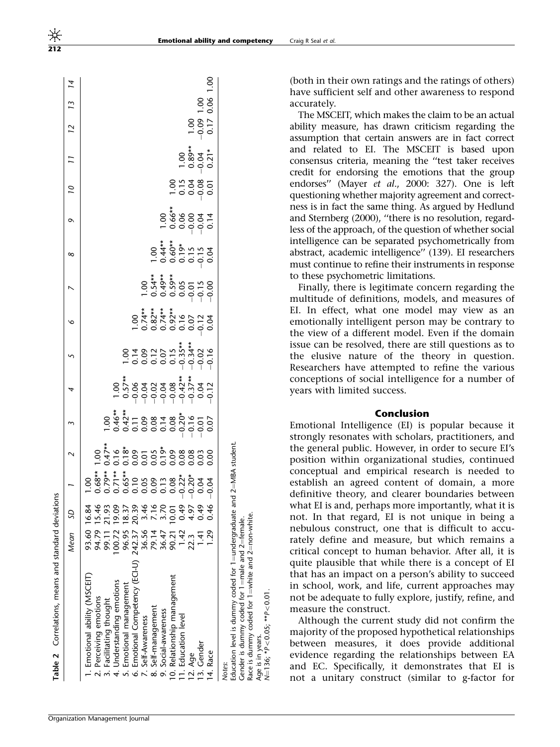| Table 2 Correlations, means and standard deviations                                                              |              |             |               |   |   |   |                                           |                                                                                                |                                         |                                                                     |                |                                                                |                    |                             |  |
|------------------------------------------------------------------------------------------------------------------|--------------|-------------|---------------|---|---|---|-------------------------------------------|------------------------------------------------------------------------------------------------|-----------------------------------------|---------------------------------------------------------------------|----------------|----------------------------------------------------------------|--------------------|-----------------------------|--|
|                                                                                                                  | Mean         | $\beta$     | 2             | Z | 4 | 5 | ৩                                         |                                                                                                | ∞                                       | ٥                                                                   | $\overline{c}$ |                                                                | $\overline{12}$    | $\frac{13}{2}$              |  |
| . Emotional ability (MSCEIT)                                                                                     |              | 93.60 16.84 |               |   |   |   |                                           |                                                                                                |                                         |                                                                     |                |                                                                |                    |                             |  |
| 2. Perceiving emotions                                                                                           | 94.79        | 15.46       |               |   |   |   |                                           |                                                                                                |                                         |                                                                     |                |                                                                |                    |                             |  |
| 3. Facilitating thought                                                                                          | 99.11        | 21.93       |               |   |   |   |                                           |                                                                                                |                                         |                                                                     |                |                                                                |                    |                             |  |
| 4. Understanding emotions                                                                                        | 00.72        | 19.09       |               |   |   |   |                                           |                                                                                                |                                         |                                                                     |                |                                                                |                    |                             |  |
| 5. Emotional management                                                                                          | 96.95        | 18.37       |               |   |   |   |                                           |                                                                                                |                                         |                                                                     |                |                                                                |                    |                             |  |
| 6. Emotional Competency (ECI-U)                                                                                  | 242.37 20.39 |             |               |   |   |   |                                           |                                                                                                |                                         |                                                                     |                |                                                                |                    |                             |  |
| 7. Self-Awareness                                                                                                | 36.56        | 3.46        |               |   |   |   | 00<br>074*****<br>088702020<br>0000000000 |                                                                                                |                                         |                                                                     |                |                                                                |                    |                             |  |
| 8. Self-management                                                                                               | 79.14        | 7.16        |               |   |   |   |                                           |                                                                                                |                                         |                                                                     |                |                                                                |                    |                             |  |
| 9. Social-awareness                                                                                              | 36.47        | 3.70        |               |   |   |   |                                           |                                                                                                |                                         |                                                                     |                |                                                                |                    |                             |  |
| 10. Relationship management                                                                                      | 90.21        | 10.01       |               |   |   |   |                                           |                                                                                                |                                         |                                                                     |                |                                                                |                    |                             |  |
| 11. Education level                                                                                              | 1.42         | 0.49        |               |   |   |   |                                           |                                                                                                |                                         |                                                                     |                |                                                                |                    |                             |  |
| 12. Age                                                                                                          | 22.3         | 4.97        |               |   |   |   |                                           |                                                                                                |                                         |                                                                     | 0013800        |                                                                |                    |                             |  |
| 13. Gender                                                                                                       | 1.41         | 0.49        |               |   |   |   |                                           |                                                                                                |                                         |                                                                     |                |                                                                | $-0.05$<br>$-0.07$ |                             |  |
| 14. Race                                                                                                         | 1.29         | 0.46        |               |   |   |   |                                           | $1.00$<br>$-0.54$<br>$-0.59$<br>$-0.59$<br>$-0.59$<br>$-0.59$<br>$-0.59$<br>$-0.59$<br>$-0.59$ | 0<br>04400 N<br>0460 N N N<br>00000 P O | $-0.06$<br>$-0.068$<br>$-0.068$<br>$-0.067$<br>$-0.067$<br>$-0.067$ |                | $\begin{array}{c} 1.00 \\ 0.89** \\ 0.04 \\ 0.21* \end{array}$ |                    | 1.00<br>$\frac{0.06}{0.06}$ |  |
| Notes:                                                                                                           |              |             |               |   |   |   |                                           |                                                                                                |                                         |                                                                     |                |                                                                |                    |                             |  |
| Education level is dummy coded for 1=undergraduate and<br>Gender is dummy coded for $1$ = male and $2$ = female. |              |             | 2=MBA student |   |   |   |                                           |                                                                                                |                                         |                                                                     |                |                                                                |                    |                             |  |

**Emotional ability and competency** Craig R Seal et al.

Race is dummy coded for 1

Age is in years.

in years.

N

 $=136; *P<0.05; *P<0.01$ .

\* $P < 0.05$ ; \*\* $P < 0.01$ 

 $=$ white and 2

Race is dummy coded for 1=white and 2=non-white.

=non-white.

(both in their own ratings and the ratings of others) have sufficient self and other awareness to respond accurately.

The MSCEIT, which makes the claim to be an actual ability measure, has drawn criticism regarding the assumption that certain answers are in fact correct and related to EI. The MSCEIT is based upon consensus criteria, meaning the ''test taker receives credit for endorsing the emotions that the group endorses'' (Mayer et al., 2000: 327). One is left questioning whether majority agreement and correctness is in fact the same thing. As argued by Hedlund and Sternberg (2000), ''there is no resolution, regardless of the approach, of the question of whether social intelligence can be separated psychometrically from abstract, academic intelligence'' (139). EI researchers must continue to refine their instruments in response to these psychometric limitations.

Finally, there is legitimate concern regarding the multitude of definitions, models, and measures of EI. In effect, what one model may view as an emotionally intelligent person may be contrary to the view of a different model. Even if the domain issue can be resolved, there are still questions as to the elusive nature of the theory in question. Researchers have attempted to refine the various conceptions of social intelligence for a number of years with limited success.

#### Conclusion

Emotional Intelligence (EI) is popular because it strongly resonates with scholars, practitioners, and the general public. However, in order to secure EI's position within organizational studies, continued conceptual and empirical research is needed to establish an agreed content of domain, a more definitive theory, and clearer boundaries between what EI is and, perhaps more importantly, what it is not. In that regard, EI is not unique in being a nebulous construct, one that is difficult to accurately define and measure, but which remains a critical concept to human behavior. After all, it is quite plausible that while there is a concept of EI that has an impact on a person's ability to succeed in school, work, and life, current approaches may not be adequate to fully explore, justify, refine, and measure the construct.

Although the current study did not confirm the majority of the proposed hypothetical relationships between measures, it does provide additional evidence regarding the relationships between EA and EC. Specifically, it demonstrates that EI is not a unitary construct (similar to g-factor for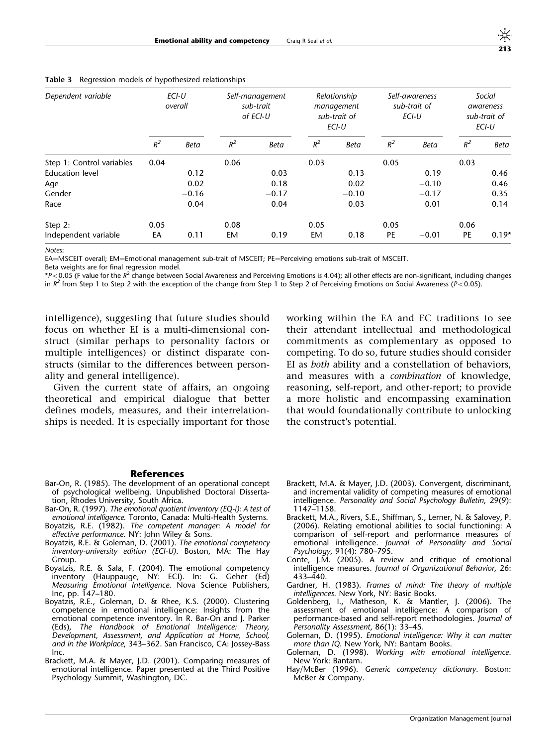| Dependent variable        |       | $ECI-U$<br>overall |       | Self-management<br>sub-trait<br>of ECI-U |       | Relationship<br>management<br>sub-trait of<br>$ECI-U$ |           | Self-awareness<br>sub-trait of<br>ECI-U |       | Social<br>awareness<br>sub-trait of<br>ECI-U |
|---------------------------|-------|--------------------|-------|------------------------------------------|-------|-------------------------------------------------------|-----------|-----------------------------------------|-------|----------------------------------------------|
|                           | $R^2$ | <b>Beta</b>        | $R^2$ | <b>Beta</b>                              | $R^2$ | <b>Beta</b>                                           | $R^2$     | <b>Beta</b>                             | $R^2$ | Beta                                         |
| Step 1: Control variables | 0.04  |                    | 0.06  |                                          | 0.03  |                                                       | 0.05      |                                         | 0.03  |                                              |
| <b>Education level</b>    |       | 0.12               |       | 0.03                                     |       | 0.13                                                  |           | 0.19                                    |       | 0.46                                         |
| Aqe                       |       | 0.02               |       | 0.18                                     |       | 0.02                                                  |           | $-0.10$                                 |       | 0.46                                         |
| Gender                    |       | $-0.16$            |       | $-0.17$                                  |       | $-0.10$                                               |           | $-0.17$                                 |       | 0.35                                         |
| Race                      |       | 0.04               |       | 0.04                                     |       | 0.03                                                  |           | 0.01                                    |       | 0.14                                         |
| Step 2:                   | 0.05  |                    | 0.08  |                                          | 0.05  |                                                       | 0.05      |                                         | 0.06  |                                              |
| Independent variable      | EA    | 0.11               | EM    | 0.19                                     | EM    | 0.18                                                  | <b>PE</b> | $-0.01$                                 | PE    | $0.19*$                                      |

#### Table 3 Regression models of hypothesized relationships

Notes:

EA=MSCEIT overall; EM=Emotional management sub-trait of MSCEIT; PE=Perceiving emotions sub-trait of MSCEIT.

Beta weights are for final regression model.

\*P<0.05 (F value for the  $R^2$  change between Social Awareness and Perceiving Emotions is 4.04); all other effects are non-significant, including changes in  $R^2$  from Step 1 to Step 2 with the exception of the change from Step 1 to Step 2 of Perceiving Emotions on Social Awareness (P<0.05).

intelligence), suggesting that future studies should focus on whether EI is a multi-dimensional construct (similar perhaps to personality factors or multiple intelligences) or distinct disparate constructs (similar to the differences between personality and general intelligence).

Given the current state of affairs, an ongoing theoretical and empirical dialogue that better defines models, measures, and their interrelationships is needed. It is especially important for those working within the EA and EC traditions to see their attendant intellectual and methodological commitments as complementary as opposed to competing. To do so, future studies should consider EI as both ability and a constellation of behaviors, and measures with a combination of knowledge, reasoning, self-report, and other-report; to provide a more holistic and encompassing examination that would foundationally contribute to unlocking the construct's potential.

#### References

- Bar-On, R. (1985). The development of an operational concept of psychological wellbeing. Unpublished Doctoral Dissertation, Rhodes University, South Africa.
- Bar-On, R. (1997). The emotional quotient inventory (EQ-i): A test of emotional intelligence. Toronto, Canada: Multi-Health Systems.
- Boyatzis, R.E. (1982). The competent manager: A model for effective performance. NY: John Wiley & Sons.
- Boyatzis, R.E. & Goleman, D. (2001). The emotional competency inventory-university edition (ECI-U). Boston, MA: The Hay Group.
- Boyatzis, R.E. & Sala, F. (2004). The emotional competency inventory (Hauppauge, NY: ECI). In: G. Geher (Ed) Measuring Emotional Intelligence. Nova Science Publishers, Inc, pp. 147–180.
- Boyatzis, R.E., Goleman, D. & Rhee, K.S. (2000). Clustering competence in emotional intelligence: Insights from the emotional competence inventory. In R. Bar-On and J. Parker (Eds), The Handbook of Emotional Intelligence: Theory, Development, Assessment, and Application at Home, School, and in the Workplace, 343–362. San Francisco, CA: Jossey-Bass Inc.
- Brackett, M.A. & Mayer, J.D. (2001). Comparing measures of emotional intelligence. Paper presented at the Third Positive Psychology Summit, Washington, DC.
- Brackett, M.A. & Mayer, J.D. (2003). Convergent, discriminant, and incremental validity of competing measures of emotional intelligence. Personality and Social Psychology Bulletin, 29(9): 1147–1158.
- Brackett, M.A., Rivers, S.E., Shiffman, S., Lerner, N. & Salovey, P. (2006). Relating emotional abilities to social functioning: A comparison of self-report and performance measures of emotional intelligence. Journal of Personality and Social Psychology, 91(4): 780-795.
- Conte, J.M. (2005). A review and critique of emotional intelligence measures. Journal of Organizational Behavior, 26: 433–440.
- Gardner, H. (1983). Frames of mind: The theory of multiple intelligences. New York, NY: Basic Books.
- Goldenberg, I., Matheson, K. & Mantler, J. (2006). The assessment of emotional intelligence: A comparison of performance-based and self-report methodologies. Journal of Personality Assessment, 86(1): 33–45.
- Goleman, D. (1995). Emotional intelligence: Why it can matter more than IQ. New York, NY: Bantam Books.
- Goleman, D. (1998). Working with emotional intelligence. New York: Bantam.
- Hay/McBer (1996). Generic competency dictionary. Boston: McBer & Company.